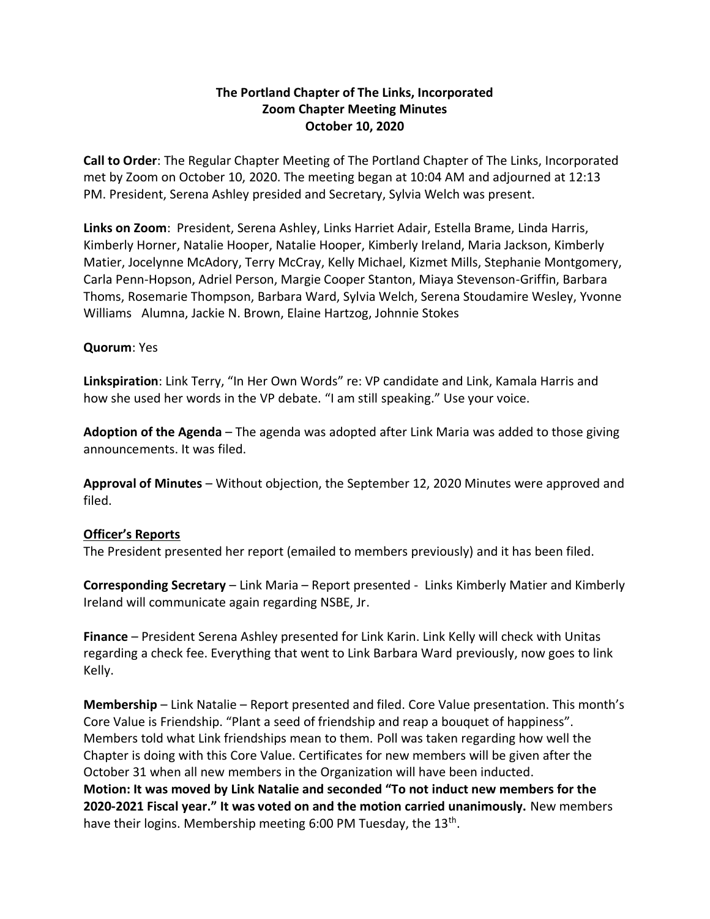## **The Portland Chapter of The Links, Incorporated Zoom Chapter Meeting Minutes October 10, 2020**

**Call to Order**: The Regular Chapter Meeting of The Portland Chapter of The Links, Incorporated met by Zoom on October 10, 2020. The meeting began at 10:04 AM and adjourned at 12:13 PM. President, Serena Ashley presided and Secretary, Sylvia Welch was present.

**Links on Zoom**: President, Serena Ashley, Links Harriet Adair, Estella Brame, Linda Harris, Kimberly Horner, Natalie Hooper, Natalie Hooper, Kimberly Ireland, Maria Jackson, Kimberly Matier, Jocelynne McAdory, Terry McCray, Kelly Michael, Kizmet Mills, Stephanie Montgomery, Carla Penn-Hopson, Adriel Person, Margie Cooper Stanton, Miaya Stevenson-Griffin, Barbara Thoms, Rosemarie Thompson, Barbara Ward, Sylvia Welch, Serena Stoudamire Wesley, Yvonne Williams Alumna, Jackie N. Brown, Elaine Hartzog, Johnnie Stokes

## **Quorum**: Yes

**Linkspiration**: Link Terry, "In Her Own Words" re: VP candidate and Link, Kamala Harris and how she used her words in the VP debate. "I am still speaking." Use your voice.

**Adoption of the Agenda** – The agenda was adopted after Link Maria was added to those giving announcements. It was filed.

**Approval of Minutes** – Without objection, the September 12, 2020 Minutes were approved and filed.

## **Officer's Reports**

The President presented her report (emailed to members previously) and it has been filed.

**Corresponding Secretary** – Link Maria – Report presented - Links Kimberly Matier and Kimberly Ireland will communicate again regarding NSBE, Jr.

**Finance** – President Serena Ashley presented for Link Karin. Link Kelly will check with Unitas regarding a check fee. Everything that went to Link Barbara Ward previously, now goes to link Kelly.

**Membership** – Link Natalie – Report presented and filed. Core Value presentation. This month's Core Value is Friendship. "Plant a seed of friendship and reap a bouquet of happiness". Members told what Link friendships mean to them. Poll was taken regarding how well the Chapter is doing with this Core Value. Certificates for new members will be given after the October 31 when all new members in the Organization will have been inducted. **Motion: It was moved by Link Natalie and seconded "To not induct new members for the 2020-2021 Fiscal year." It was voted on and the motion carried unanimously.** New members have their logins. Membership meeting 6:00 PM Tuesday, the 13<sup>th</sup>.